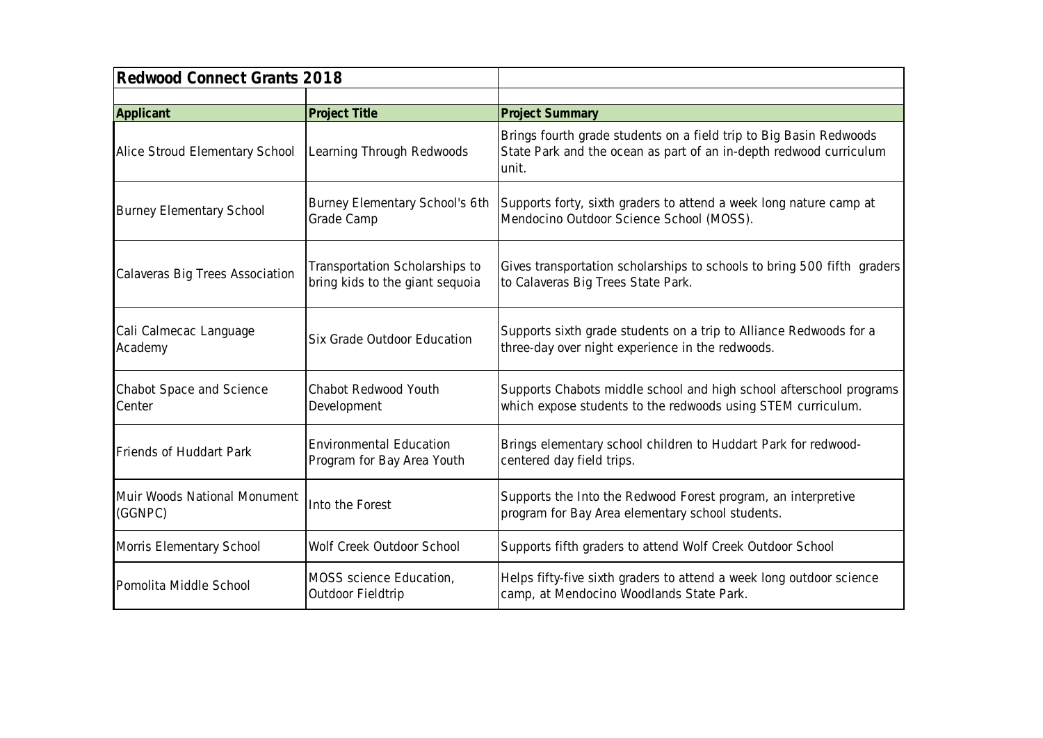| Redwood Connect Grants 2018             |                                                                   |                                                                                                                                                   |
|-----------------------------------------|-------------------------------------------------------------------|---------------------------------------------------------------------------------------------------------------------------------------------------|
|                                         |                                                                   |                                                                                                                                                   |
| Applicant                               | Project Title                                                     | <b>Project Summary</b>                                                                                                                            |
| Alice Stroud Elementary School          | Learning Through Redwoods                                         | Brings fourth grade students on a field trip to Big Basin Redwoods<br>State Park and the ocean as part of an in-depth redwood curriculum<br>unit. |
| <b>Burney Elementary School</b>         | Burney Elementary School's 6th<br>Grade Camp                      | Supports forty, sixth graders to attend a week long nature camp at<br>Mendocino Outdoor Science School (MOSS).                                    |
| Calaveras Big Trees Association         | Transportation Scholarships to<br>bring kids to the giant sequoia | Gives transportation scholarships to schools to bring 500 fifth graders<br>to Calaveras Big Trees State Park.                                     |
| Cali Calmecac Language<br>Academy       | Six Grade Outdoor Education                                       | Supports sixth grade students on a trip to Alliance Redwoods for a<br>three-day over night experience in the redwoods.                            |
| Chabot Space and Science<br>Center      | Chabot Redwood Youth<br>Development                               | Supports Chabots middle school and high school afterschool programs<br>which expose students to the redwoods using STEM curriculum.               |
| Friends of Huddart Park                 | <b>Environmental Education</b><br>Program for Bay Area Youth      | Brings elementary school children to Huddart Park for redwood-<br>centered day field trips.                                                       |
| Muir Woods National Monument<br>(GGNPC) | Into the Forest                                                   | Supports the Into the Redwood Forest program, an interpretive<br>program for Bay Area elementary school students.                                 |
| Morris Elementary School                | Wolf Creek Outdoor School                                         | Supports fifth graders to attend Wolf Creek Outdoor School                                                                                        |
| Pomolita Middle School                  | MOSS science Education,<br>Outdoor Fieldtrip                      | Helps fifty-five sixth graders to attend a week long outdoor science<br>camp, at Mendocino Woodlands State Park.                                  |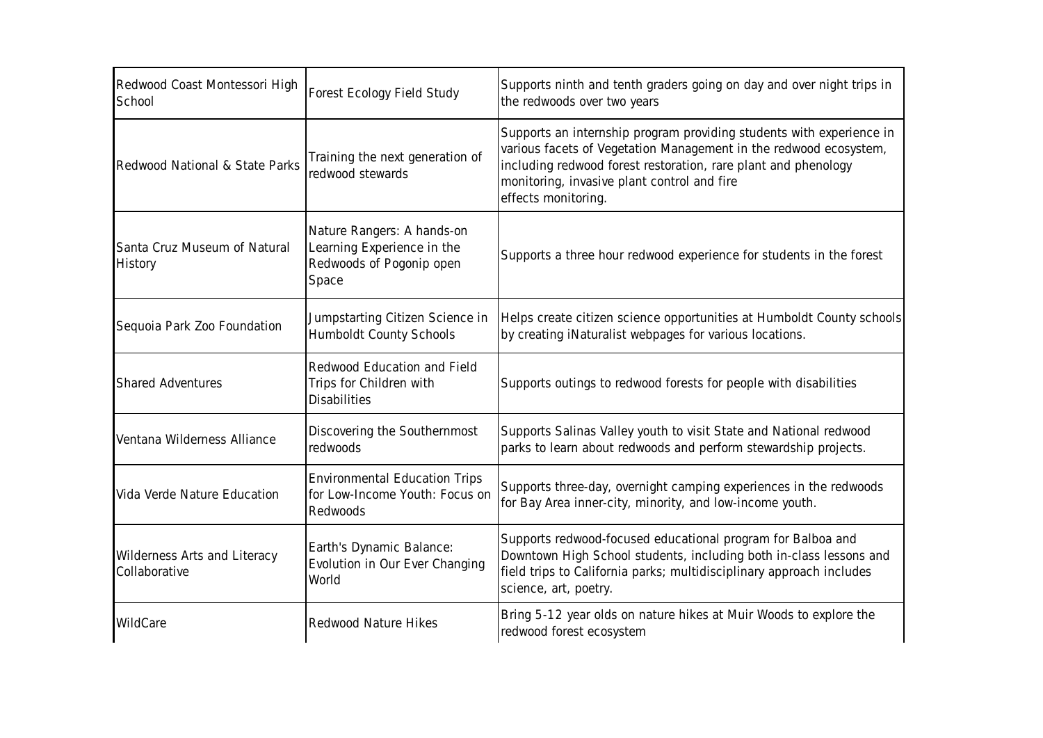| Redwood Coast Montessori High<br>School       | Forest Ecology Field Study                                                                    | Supports ninth and tenth graders going on day and over night trips in<br>the redwoods over two years                                                                                                                                                                              |
|-----------------------------------------------|-----------------------------------------------------------------------------------------------|-----------------------------------------------------------------------------------------------------------------------------------------------------------------------------------------------------------------------------------------------------------------------------------|
| Redwood National & State Parks                | Training the next generation of<br>redwood stewards                                           | Supports an internship program providing students with experience in<br>various facets of Vegetation Management in the redwood ecosystem,<br>including redwood forest restoration, rare plant and phenology<br>monitoring, invasive plant control and fire<br>effects monitoring. |
| Santa Cruz Museum of Natural<br>History       | Nature Rangers: A hands-on<br>Learning Experience in the<br>Redwoods of Pogonip open<br>Space | Supports a three hour redwood experience for students in the forest                                                                                                                                                                                                               |
| Sequoia Park Zoo Foundation                   | Jumpstarting Citizen Science in<br>Humboldt County Schools                                    | Helps create citizen science opportunities at Humboldt County schools<br>by creating iNaturalist webpages for various locations.                                                                                                                                                  |
| <b>Shared Adventures</b>                      | Redwood Education and Field<br>Trips for Children with<br><b>Disabilities</b>                 | Supports outings to redwood forests for people with disabilities                                                                                                                                                                                                                  |
| Ventana Wilderness Alliance                   | Discovering the Southernmost<br>redwoods                                                      | Supports Salinas Valley youth to visit State and National redwood<br>parks to learn about redwoods and perform stewardship projects.                                                                                                                                              |
| Vida Verde Nature Education                   | <b>Environmental Education Trips</b><br>for Low-Income Youth: Focus on<br>Redwoods            | Supports three-day, overnight camping experiences in the redwoods<br>for Bay Area inner-city, minority, and low-income youth.                                                                                                                                                     |
| Wilderness Arts and Literacy<br>Collaborative | Earth's Dynamic Balance:<br>Evolution in Our Ever Changing<br>World                           | Supports redwood-focused educational program for Balboa and<br>Downtown High School students, including both in-class lessons and<br>field trips to California parks; multidisciplinary approach includes<br>science, art, poetry.                                                |
| WildCare                                      | Redwood Nature Hikes                                                                          | Bring 5-12 year olds on nature hikes at Muir Woods to explore the<br>redwood forest ecosystem                                                                                                                                                                                     |